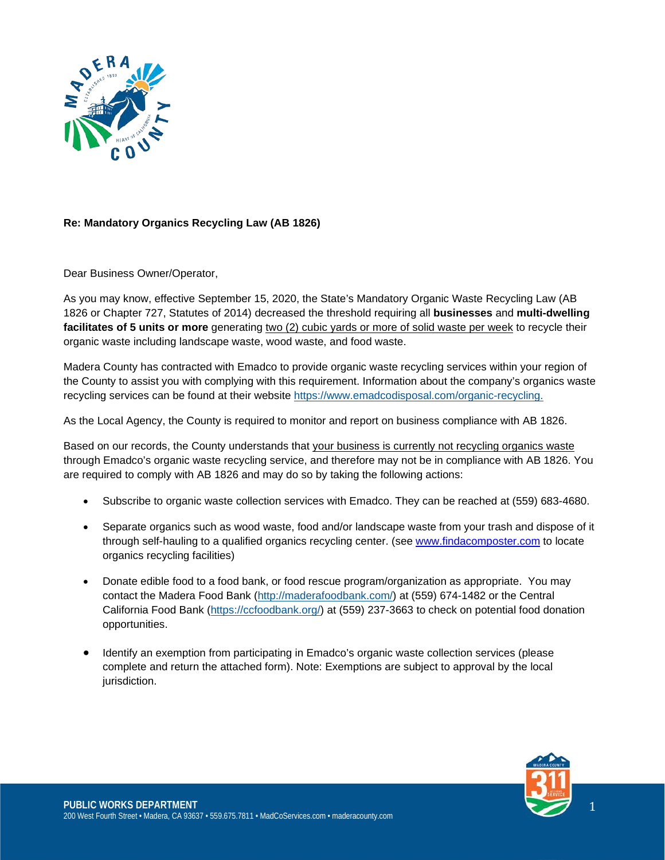

## **Re: Mandatory Organics Recycling Law (AB 1826)**

Dear Business Owner/Operator,

As you may know, effective September 15, 2020, the State's Mandatory Organic Waste Recycling Law (AB 1826 or Chapter 727, Statutes of 2014) decreased the threshold requiring all **businesses** and **multi-dwelling facilitates of 5 units or more** generating two (2) cubic yards or more of solid waste per week to recycle their organic waste including landscape waste, wood waste, and food waste.

Madera County has contracted with Emadco to provide organic waste recycling services within your region of the County to assist you with complying with this requirement. Information about the company's organics waste recycling services can be found at their website [https://www.emadcodisposal.com/organic-recycling.](https://www.emadcodisposal.com/organic-recycling)

As the Local Agency, the County is required to monitor and report on business compliance with AB 1826.

Based on our records, the County understands that your business is currently not recycling organics waste through Emadco's organic waste recycling service, and therefore may not be in compliance with AB 1826. You are required to comply with AB 1826 and may do so by taking the following actions:

- Subscribe to organic waste collection services with Emadco. They can be reached at (559) 683-4680.
- Separate organics such as wood waste, food and/or landscape waste from your trash and dispose of it through self-hauling to a qualified organics recycling center. (see [www.findacomposter.com](http://www.findacomposter.com/) to locate organics recycling facilities)
- Donate edible food to a food bank, or food rescue program/organization as appropriate. You may contact the Madera Food Bank [\(http://maderafoodbank.com/\)](http://maderafoodbank.com/) at (559) 674-1482 or the Central California Food Bank [\(https://ccfoodbank.org/\)](https://ccfoodbank.org/) at (559) 237-3663 to check on potential food donation opportunities.
- Identify an exemption from participating in Emadco's organic waste collection services (please complete and return the attached form). Note: Exemptions are subject to approval by the local jurisdiction.